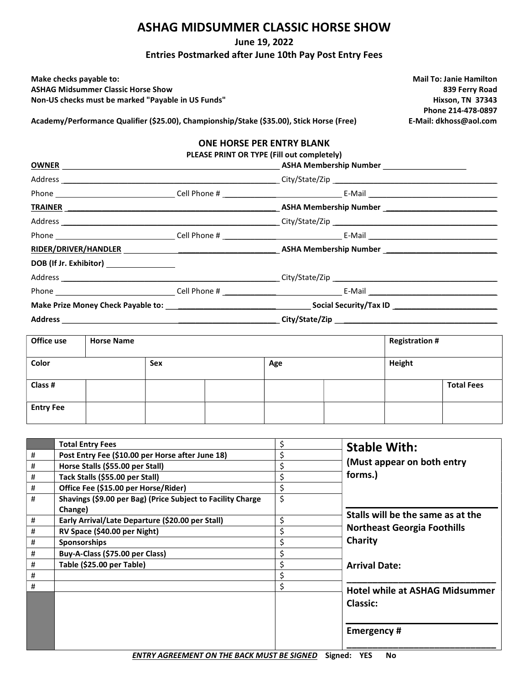#### ASHAG MIDSUMMER CLASSIC HORSE SHOW

June 19, 2022

Entries Postmarked after June 10th Pay Post Entry Fees

Make checks payable to: Mail To: Janie Hamilton ASHAG Midsummer Classic Horse Show 839 Ferry Road Non-US checks must be marked "Payable in US Funds" Non-US Funds and The Mixson, TN 37343

Phone 214-478-0897

Academy/Performance Qualifier (\$25.00), Championship/Stake (\$35.00), Stick Horse (Free) E-Mail: dkhoss@aol.com

#### ONE HORSE PER ENTRY BLANK

PLEASE PRINT OR TYPE (Fill out completely)

| OWNER <u>Andreas and the second second second second second second second second second second second second second second second second second second second second second second second second second second second second sec</u> |  | ASHA Membership Number ______________________ |  |  |
|--------------------------------------------------------------------------------------------------------------------------------------------------------------------------------------------------------------------------------------|--|-----------------------------------------------|--|--|
|                                                                                                                                                                                                                                      |  |                                               |  |  |
|                                                                                                                                                                                                                                      |  |                                               |  |  |
|                                                                                                                                                                                                                                      |  |                                               |  |  |
|                                                                                                                                                                                                                                      |  |                                               |  |  |
|                                                                                                                                                                                                                                      |  |                                               |  |  |
|                                                                                                                                                                                                                                      |  |                                               |  |  |
| DOB (If Jr. Exhibitor) _________________                                                                                                                                                                                             |  |                                               |  |  |
|                                                                                                                                                                                                                                      |  |                                               |  |  |
|                                                                                                                                                                                                                                      |  |                                               |  |  |
|                                                                                                                                                                                                                                      |  |                                               |  |  |
|                                                                                                                                                                                                                                      |  |                                               |  |  |

| Office use       | <b>Horse Name</b> |     |  |     | <b>Registration #</b> |        |                   |
|------------------|-------------------|-----|--|-----|-----------------------|--------|-------------------|
| Color            |                   | Sex |  | Age |                       | Height |                   |
| Class #          |                   |     |  |     |                       |        | <b>Total Fees</b> |
| <b>Entry Fee</b> |                   |     |  |     |                       |        |                   |

|   | <b>Total Entry Fees</b>                                     | \$ | <b>Stable With:</b>                   |
|---|-------------------------------------------------------------|----|---------------------------------------|
| # | Post Entry Fee (\$10.00 per Horse after June 18)            | \$ |                                       |
| # | Horse Stalls (\$55.00 per Stall)                            | \$ | (Must appear on both entry            |
| # | Tack Stalls (\$55.00 per Stall)                             | \$ | forms.)                               |
| # | Office Fee (\$15.00 per Horse/Rider)                        | \$ |                                       |
| # | Shavings (\$9.00 per Bag) (Price Subject to Facility Charge | \$ |                                       |
|   | Change)                                                     |    | Stalls will be the same as at the     |
| # | Early Arrival/Late Departure (\$20.00 per Stall)            | \$ |                                       |
| # | RV Space (\$40.00 per Night)                                | \$ | <b>Northeast Georgia Foothills</b>    |
| # | <b>Sponsorships</b>                                         | Ś. | Charity                               |
| # | Buy-A-Class (\$75.00 per Class)                             | \$ |                                       |
| # | Table (\$25.00 per Table)                                   | \$ | <b>Arrival Date:</b>                  |
| # |                                                             |    |                                       |
| # |                                                             | \$ | <b>Hotel while at ASHAG Midsummer</b> |
|   |                                                             |    |                                       |
|   |                                                             |    | <b>Classic:</b>                       |
|   |                                                             |    |                                       |
|   |                                                             |    | <b>Emergency#</b>                     |
|   |                                                             |    |                                       |